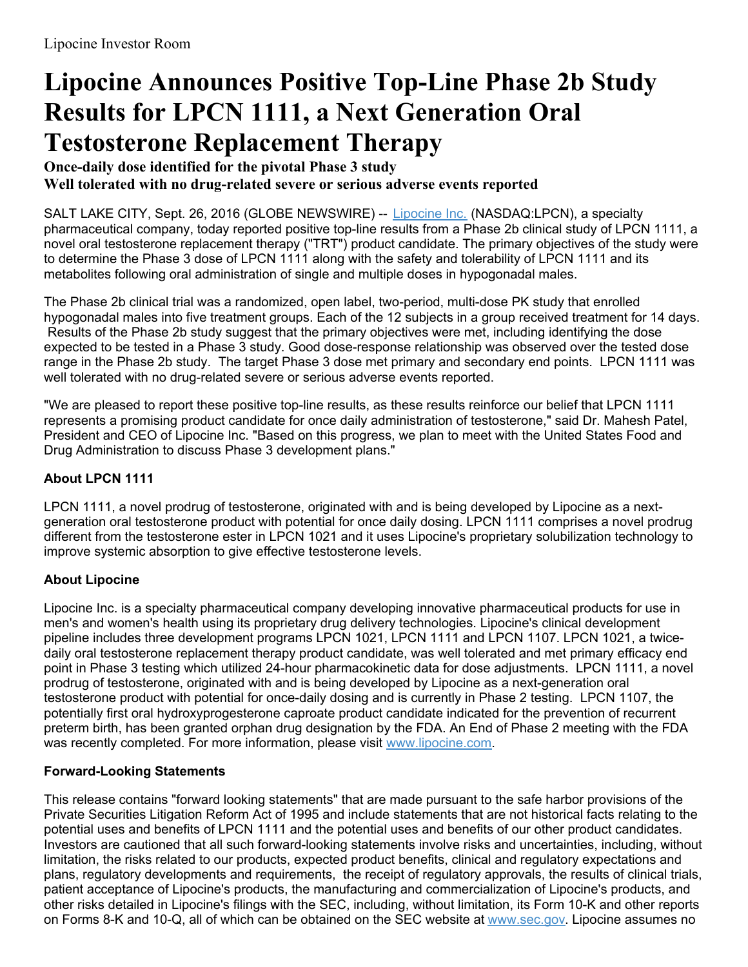## **Lipocine Announces Positive Top-Line Phase 2b Study Results for LPCN 1111, a Next Generation Oral Testosterone Replacement Therapy**

**Once-daily dose identified for the pivotal Phase 3 study Well tolerated with no drug-related severe or serious adverse events reported**

SALT LAKE CITY, Sept. 26, 2016 (GLOBE NEWSWIRE) -- [Lipocine](https://www.globenewswire.com/Tracker?data=_SbM0DU1U7wBheMgjNGxbV68TUwyqEqhKKyoQxfgMGBHgEGbCi27ofHN9sdlb1DHwlCvqVtIkYtecgxPiNQ_eA==) Inc. (NASDAQ:LPCN), a specialty pharmaceutical company, today reported positive top-line results from a Phase 2b clinical study of LPCN 1111, a novel oral testosterone replacement therapy ("TRT") product candidate. The primary objectives of the study were to determine the Phase 3 dose of LPCN 1111 along with the safety and tolerability of LPCN 1111 and its metabolites following oral administration of single and multiple doses in hypogonadal males.

The Phase 2b clinical trial was a randomized, open label, two-period, multi-dose PK study that enrolled hypogonadal males into five treatment groups. Each of the 12 subjects in a group received treatment for 14 days. Results of the Phase 2b study suggest that the primary objectives were met, including identifying the dose expected to be tested in a Phase 3 study. Good dose-response relationship was observed over the tested dose range in the Phase 2b study. The target Phase 3 dose met primary and secondary end points. LPCN 1111 was well tolerated with no drug-related severe or serious adverse events reported.

"We are pleased to report these positive top-line results, as these results reinforce our belief that LPCN 1111 represents a promising product candidate for once daily administration of testosterone," said Dr. Mahesh Patel, President and CEO of Lipocine Inc. "Based on this progress, we plan to meet with the United States Food and Drug Administration to discuss Phase 3 development plans."

## **About LPCN 1111**

LPCN 1111, a novel prodrug of testosterone, originated with and is being developed by Lipocine as a nextgeneration oral testosterone product with potential for once daily dosing. LPCN 1111 comprises a novel prodrug different from the testosterone ester in LPCN 1021 and it uses Lipocine's proprietary solubilization technology to improve systemic absorption to give effective testosterone levels.

## **About Lipocine**

Lipocine Inc. is a specialty pharmaceutical company developing innovative pharmaceutical products for use in men's and women's health using its proprietary drug delivery technologies. Lipocine's clinical development pipeline includes three development programs LPCN 1021, LPCN 1111 and LPCN 1107. LPCN 1021, a twicedaily oral testosterone replacement therapy product candidate, was well tolerated and met primary efficacy end point in Phase 3 testing which utilized 24-hour pharmacokinetic data for dose adjustments. LPCN 1111, a novel prodrug of testosterone, originated with and is being developed by Lipocine as a next-generation oral testosterone product with potential for once-daily dosing and is currently in Phase 2 testing. LPCN 1107, the potentially first oral hydroxyprogesterone caproate product candidate indicated for the prevention of recurrent preterm birth, has been granted orphan drug designation by the FDA. An End of Phase 2 meeting with the FDA was recently completed. For more information, please visit [www.lipocine.com](https://www.globenewswire.com/Tracker?data=YXr6wv8qGhMp_l7-4UUAciAz6SLh3nXqC3mjko1AsjClg6Eo7GXYdQKZzS9XsTGdlMq_woA5Vk-v-kXaCyEMqw==).

## **Forward-Looking Statements**

This release contains "forward looking statements" that are made pursuant to the safe harbor provisions of the Private Securities Litigation Reform Act of 1995 and include statements that are not historical facts relating to the potential uses and benefits of LPCN 1111 and the potential uses and benefits of our other product candidates. Investors are cautioned that all such forward-looking statements involve risks and uncertainties, including, without limitation, the risks related to our products, expected product benefits, clinical and regulatory expectations and plans, regulatory developments and requirements, the receipt of regulatory approvals, the results of clinical trials, patient acceptance of Lipocine's products, the manufacturing and commercialization of Lipocine's products, and other risks detailed in Lipocine's filings with the SEC, including, without limitation, its Form 10-K and other reports on Forms 8-K and 10-Q, all of which can be obtained on the SEC website at [www.sec.gov](https://www.globenewswire.com/Tracker?data=NoecxMVeuFgjO0H1l-j22aO1BONp4HTC9RuoIsjMmUO8OWrKDGnb3PKGfHRjWJx1BS8RMX4j__4vEiApViRmdw==). Lipocine assumes no